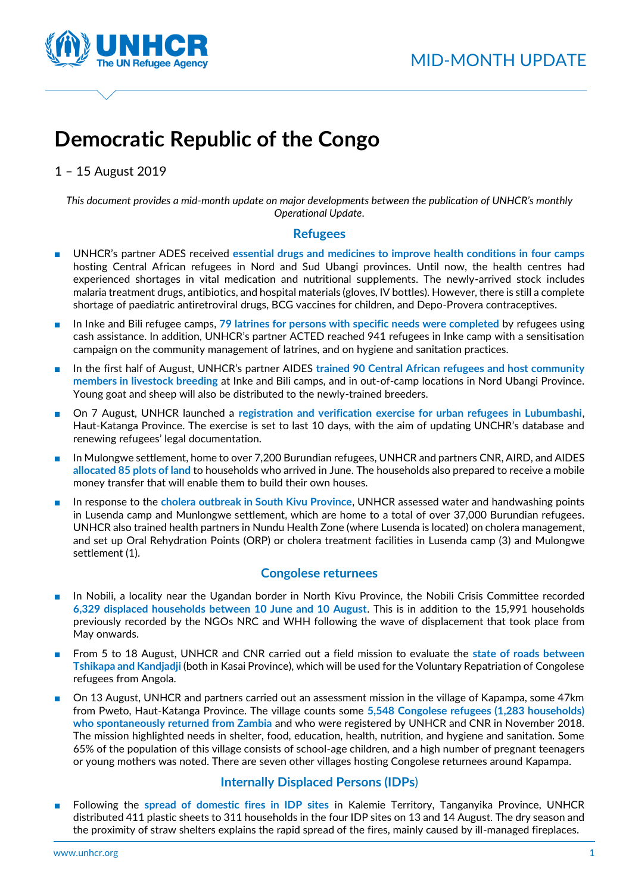

# **Democratic Republic of the Congo**

1 – 15 August 2019

*This document provides a mid-month update on major developments between the publication of UNHCR's monthly Operational Update.*

## **Refugees**

- UNHCR's partner ADES received **essential drugs and medicines to improve health conditions in four camps** hosting Central African refugees in Nord and Sud Ubangi provinces. Until now, the health centres had experienced shortages in vital medication and nutritional supplements. The newly-arrived stock includes malaria treatment drugs, antibiotics, and hospital materials (gloves, IV bottles). However, there is still a complete shortage of paediatric antiretroviral drugs, BCG vaccines for children, and Depo-Provera contraceptives.
- In Inke and Bili refugee camps, 79 latrines for persons with specific needs were completed by refugees using cash assistance. In addition, UNHCR's partner ACTED reached 941 refugees in Inke camp with a sensitisation campaign on the community management of latrines, and on hygiene and sanitation practices.
- In the first half of August, UNHCR's partner AIDES trained 90 Central African refugees and host community **members in livestock breeding** at Inke and Bili camps, and in out-of-camp locations in Nord Ubangi Province. Young goat and sheep will also be distributed to the newly-trained breeders.
- On 7 August, UNHCR launched a **registration and verification exercise for urban refugees in Lubumbashi**, Haut-Katanga Province. The exercise is set to last 10 days, with the aim of updating UNCHR's database and renewing refugees' legal documentation.
- In Mulongwe settlement, home to over 7,200 Burundian refugees, UNHCR and partners CNR, AIRD, and AIDES **allocated 85 plots of land** to households who arrived in June. The households also prepared to receive a mobile money transfer that will enable them to build their own houses.
- In response to the **cholera outbreak in South Kivu Province**, UNHCR assessed water and handwashing points in Lusenda camp and Munlongwe settlement, which are home to a total of over 37,000 Burundian refugees. UNHCR also trained health partners in Nundu Health Zone (where Lusenda is located) on cholera management, and set up Oral Rehydration Points (ORP) or cholera treatment facilities in Lusenda camp (3) and Mulongwe settlement (1).

## **Congolese returnees**

- In Nobili, a locality near the Ugandan border in North Kivu Province, the Nobili Crisis Committee recorded **6,329 displaced households between 10 June and 10 August**. This is in addition to the 15,991 households previously recorded by the NGOs NRC and WHH following the wave of displacement that took place from May onwards.
- From 5 to 18 August, UNHCR and CNR carried out a field mission to evaluate the state of roads between **Tshikapa and Kandjadji** (both in Kasai Province), which will be used for the Voluntary Repatriation of Congolese refugees from Angola.
- On 13 August, UNHCR and partners carried out an assessment mission in the village of Kapampa, some 47km from Pweto, Haut-Katanga Province. The village counts some **5,548 Congolese refugees (1,283 households) who spontaneously returned from Zambia** and who were registered by UNHCR and CNR in November 2018. The mission highlighted needs in shelter, food, education, health, nutrition, and hygiene and sanitation. Some 65% of the population of this village consists of school-age children, and a high number of pregnant teenagers or young mothers was noted. There are seven other villages hosting Congolese returnees around Kapampa.

## **Internally Displaced Persons (IDPs**)

■ Following the **spread of domestic fires in IDP sites** in Kalemie Territory, Tanganyika Province, UNHCR distributed 411 plastic sheets to 311 households in the four IDP sites on 13 and 14 August. The dry season and the proximity of straw shelters explains the rapid spread of the fires, mainly caused by ill-managed fireplaces.